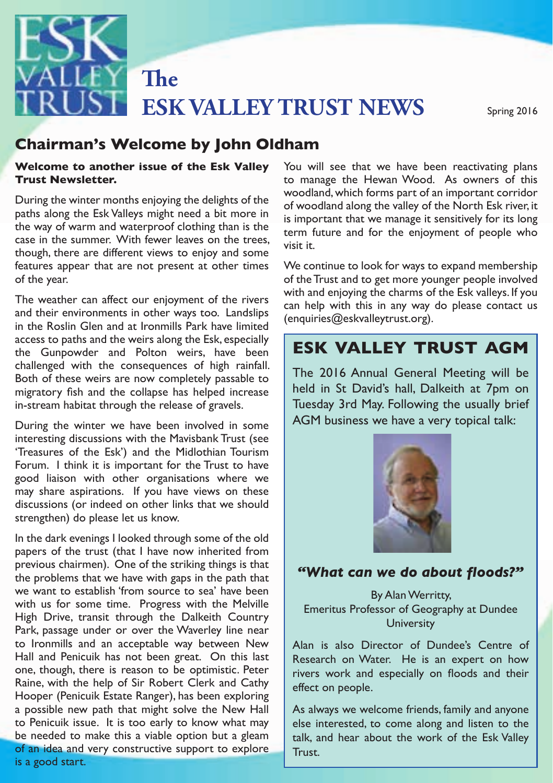

# **Chairman's Welcome by John Oldham<br>Welcome to another issue of the Esk Valley – You will see that we have be**

#### **Welcome to another issue of the Esk Valley Trust Newsletter.**

the way of warm and waterproof clothing than is the case in the summer. With fewer leaves on the trees, Fracture to the Autumn of the Autumn newsletter of the Autumn of the Trust and to get more younger people involved During the winter months enjoying the delights of the paths along the Esk Valleys might need a bit more in the way of warm and waterproof clothing than is the though, there are different views to enjoy and some features appear that are not present at other times of the year.

with and enjoying the charms of the<br>The weather can affect our enjoyment of the rivers<br>on help with this in any way do in the Roslin Glen and at Ironmills Park have limited Condamnes contained in the Roslin Glen and at Ironmills Park have limited challenged with the consequences of high rainfall. migratory fish and the collapse has helped increase  $\, \parallel$  held in St David's hall, Dalkeith at 7pm on  $\, \parallel$ and their environments in other ways too. Landslips access to paths and the weirs along the Esk, especially the Gunpowder and Polton weirs, have been Both of these weirs are now completely passable to in-stream habitat through the release of gravels.

During the winter we have been involved in some<br>interaction discussions with the Marithagh Trust (see Treasures of the Esk') and the Midlothian Tourism rorum. Tunnk it is important for the frust to have<br>good liaison with other organisations where we  $\frac{1}{2}$  may share aspirations. If you have views on these  $\frac{1}{2}$  and coordinate our may share aspirations. If you have views on these activities with Midlothian Council, local communities and other organisations.<br>Strengthen) do please let us know. interesting discussions with the Mavisbank Trust (see Forum. I think it is important for the Trust to have discussions (or indeed on other links that we should

note an it evenings in ooked an ough some of the old be launched at the launched at the launched at the launched at the launched at the launched at the launched at the launched at the launched at the launched at the launch previous chairmen). One of the striking things is that Park, passage under or over the Waverley line near Scottish Natural Heritage and Times and Figure 2011 and Figure Green And Figure 2011 and Figure 2011 and Figure 2011 and Figure 2011 and Figure 2011 and Figure 2011 and Fi Hall and Penicuik has not been great. On this last Research on Water. He is an expert on how one, though, there is reason to be optimistic. Peter everper (Consum Source Tunger), the Soon enpreving<br>a possible new path that might solve the New Hall As always we weld of an idea and very constructive support to explore  $\frac{1}{2}$  Trust is a good start. In the dark evenings I looked through some of the old the problems that we have with gaps in the path that we want to establish 'from source to sea' have been with us for some time. Progress with the Melville High Drive, transit through the Dalkeith Country to Ironmills and an acceptable way between New Raine, with the help of Sir Robert Clerk and Cathy Hooper (Penicuik Estate Ranger), has been exploring to Penicuik issue. It is too early to know what may be needed to make this a viable option but a gleam

You will see that we have been reactivating plans to manage the Hewan Wood. As owners of this woodland, which forms part of an important corridor of woodland along the valley of the North Esk river, it is important that we manage it sensitively for its long term future and for the enjoyment of people who visit it.

We continue to look for ways to expand membership with and enjoying the charms of the Esk valleys. If you can help with this in any way do please contact us (enquiries@eskvalleytrust.org).

### paths and the wen's along the Esk, especially<br>Ipowder and Polton weirs, have been **ESK VALLEY TRUST AGM**

habitat through the release of gravels. Tuesday 3rd May. Following the usually brief The 2016 Annual General Meeting will be held in St David's hall, Dalkeith at 7pm on AGM business we have a very topical talk:



#### "What can we do about floods?"

By Alan Werritty, Emeritus Professor of Geography at Dundee **University** 

Alan is also Director of Dundee's Centre of Research on Water. He is an expert on how rivers work and especially on floods and their effect on people.

enicuik issue. It is too early to know what may  $\left\{ \right.$  else interested, to come along and listen to the  $\left. \right\}$ As always we welcome friends, family and anyone talk, and hear about the work of the Esk Valley Trust.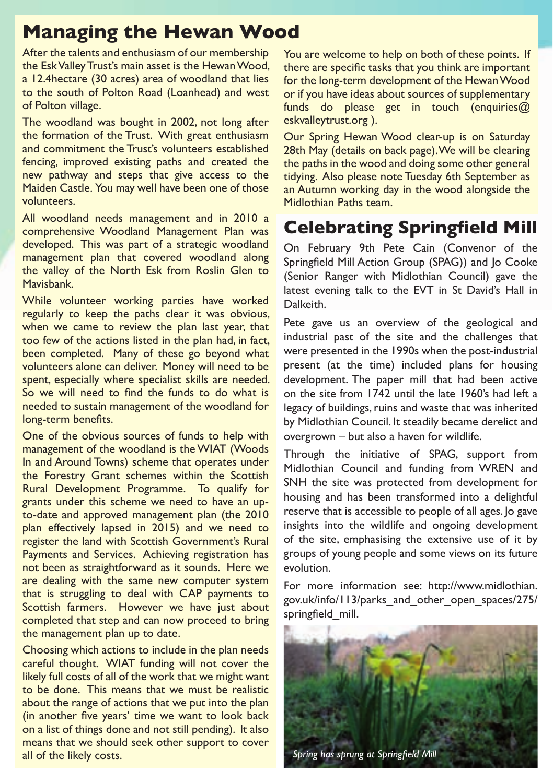### **Managing the Hewan Wood**

After the talents and enthusiasm of our membership the Esk Valley Trust's main asset is the Hewan Wood, a 12.4hectare (30 acres) area of woodland that lies to the south of Polton Road (Loanhead) and west of Polton village.

The woodland was bought in 2002, not long after the formation of the Trust. With great enthusiasm and commitment the Trust's volunteers established fencing, improved existing paths and created the new pathway and steps that give access to the Maiden Castle. You may well have been one of those volunteers.

All woodland needs management and in 2010 a comprehensive Woodland Management Plan was developed. This was part of a strategic woodland management plan that covered woodland along the valley of the North Esk from Roslin Glen to Mavisbank.

While volunteer working parties have worked regularly to keep the paths clear it was obvious, when we came to review the plan last year, that too few of the actions listed in the plan had, in fact, been completed. Many of these go beyond what volunteers alone can deliver. Money will need to be spent, especially where specialist skills are needed. So we will need to find the funds to do what is needed to sustain management of the woodland for long-term benefits.

One of the obvious sources of funds to help with management of the woodland is the WIAT (Woods In and Around Towns) scheme that operates under the Forestry Grant schemes within the Scottish Rural Development Programme. To qualify for grants under this scheme we need to have an upto-date and approved management plan (the 2010 plan effectively lapsed in 2015) and we need to register the land with Scottish Government's Rural Payments and Services. Achieving registration has not been as straightforward as it sounds. Here we are dealing with the same new computer system that is struggling to deal with CAP payments to Scottish farmers. However we have just about completed that step and can now proceed to bring the management plan up to date.

Choosing which actions to include in the plan needs careful thought. WIAT funding will not cover the likely full costs of all of the work that we might want to be done. This means that we must be realistic about the range of actions that we put into the plan (in another five years' time we want to look back on a list of things done and not still pending). It also means that we should seek other support to cover all of the likely costs.

You are welcome to help on both of these points. If there are specific tasks that you think are important for the long-term development of the Hewan Wood or if you have ideas about sources of supplementary funds do please get in touch (enquiries $@$ eskvalleytrust.org ).

Our Spring Hewan Wood clear-up is on Saturday 28th May (details on back page). We will be clearing the paths in the wood and doing some other general tidying. Also please note Tuesday 6th September as an Autumn working day in the wood alongside the Midlothian Paths team.

## **Celebrating Springfield Mill**

On February 9th Pete Cain (Convenor of the Springfield Mill Action Group (SPAG)) and Jo Cooke (Senior Ranger with Midlothian Council) gave the latest evening talk to the EVT in St David's Hall in Dalkeith.

Pete gave us an overview of the geological and industrial past of the site and the challenges that were presented in the 1990s when the post-industrial present (at the time) included plans for housing development. The paper mill that had been active on the site from 1742 until the late 1960's had left a legacy of buildings, ruins and waste that was inherited by Midlothian Council. It steadily became derelict and overgrown – but also a haven for wildlife.

Through the initiative of SPAG, support from Midlothian Council and funding from WREN and SNH the site was protected from development for housing and has been transformed into a delightful reserve that is accessible to people of all ages. Jo gave insights into the wildlife and ongoing development of the site, emphasising the extensive use of it by groups of young people and some views on its future evolution.

For more information see: http://www.midlothian. gov.uk/info/113/parks\_and\_other\_open\_spaces/275/ springfield mill.

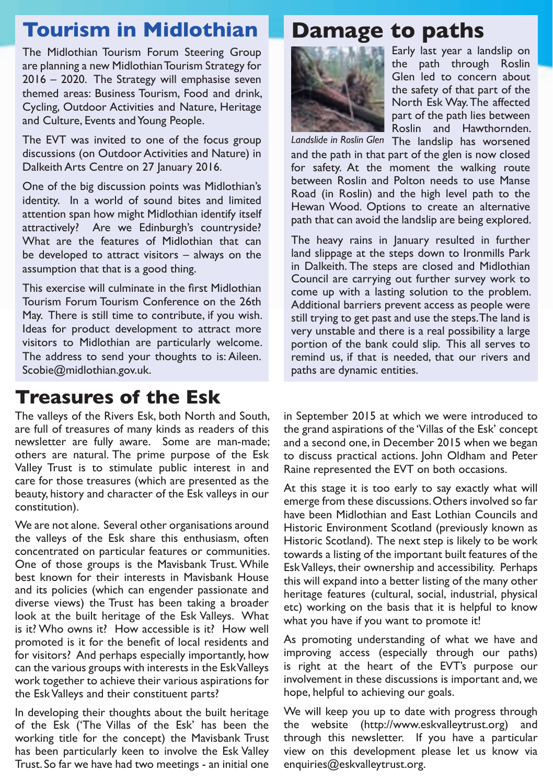## **Tourism in Midlothian**

The Midlothian Tourism Forum Steering Group are planning a new Midlothian Tourism Strategy for 2016 – 2020. The Strategy will emphasise seven themed areas: Business Tourism, Food and drink, Cycling, Outdoor Activities and Nature, Heritage and Culture, Events and Young People.

The EVT was invited to one of the focus group discussions (on Outdoor Activities and Nature) in Dalkeith Arts Centre on 27 January 2016.

One of the big discussion points was Midlothian's identity. In a world of sound bites and limited attention span how might Midlothian identify itself attractively? Are we Edinburgh's countryside? What are the features of Midlothian that can be developed to attract visitors – always on the assumption that that is a good thing.

This exercise will culminate in the first Midlothian Tourism Forum Tourism Conference on the 26th May. There is still time to contribute, if you wish. Ideas for product development to attract more visitors to Midlothian are particularly welcome. The address to send your thoughts to is: Aileen. Scobie@midlothian.gov.uk.

# **Treasures of the Esk**

The valleys of the Rivers Esk, both North and South, are full of treasures of many kinds as readers of this newsletter are fully aware. Some are man-made; others are natural. The prime purpose of the Esk Valley Trust is to stimulate public interest in and care for those treasures (which are presented as the beauty, history and character of the Esk valleys in our constitution).

We are not alone. Several other organisations around the valleys of the Esk share this enthusiasm, often concentrated on particular features or communities. One of those groups is the Mavisbank Trust. While best known for their interests in Mavisbank House and its policies (which can engender passionate and diverse views) the Trust has been taking a broader look at the built heritage of the Esk Valleys. What is it? Who owns it? How accessible is it? How well promoted is it for the benefit of local residents and for visitors? And perhaps especially importantly, how can the various groups with interests in the Esk Valleys work together to achieve their various aspirations for the Esk Valleys and their constituent parts?

In developing their thoughts about the built heritage of the Esk ('The Villas of the Esk' has been the working title for the concept) the Mavisbank Trust has been particularly keen to involve the Esk Valley Trust. So far we have had two meetings - an initial one

# **Damage to paths**



Early last year a landslip on the path through Roslin Glen led to concern about the safety of that part of the North Esk Way. The affected part of the path lies between Roslin and Hawthornden.

Landslide in Roslin Glen The landslip has worsened and the path in that part of the glen is now closed for safety. At the moment the walking route between Roslin and Polton needs to use Manse Road (in Roslin) and the high level path to the Hewan Wood. Options to create an alternative path that can avoid the landslip are being explored.

The heavy rains in January resulted in further land slippage at the steps down to Ironmills Park in Dalkeith. The steps are closed and Midlothian Council are carrying out further survey work to come up with a lasting solution to the problem. Additional barriers prevent access as people were still trying to get past and use the steps. The land is very unstable and there is a real possibility a large portion of the bank could slip. This all serves to remind us, if that is needed, that our rivers and paths are dynamic entities.

in September 2015 at which we were introduced to the grand aspirations of the 'Villas of the Esk' concept and a second one, in December 2015 when we began to discuss practical actions. John Oldham and Peter Raine represented the EVT on both occasions.

At this stage it is too early to say exactly what will emerge from these discussions. Others involved so far have been Midlothian and East Lothian Councils and Historic Environment Scotland (previously known as Historic Scotland). The next step is likely to be work towards a listing of the important built features of the Esk Valleys, their ownership and accessibility. Perhaps this will expand into a better listing of the many other heritage features (cultural, social, industrial, physical etc) working on the basis that it is helpful to know what you have if you want to promote it!

As promoting understanding of what we have and improving access (especially through our paths) is right at the heart of the EVT's purpose our involvement in these discussions is important and, we hope, helpful to achieving our goals.

We will keep you up to date with progress through the website (http://www.eskvalleytrust.org) and through this newsletter. If you have a particular view on this development please let us know via enquiries@eskvalleytrust.org.